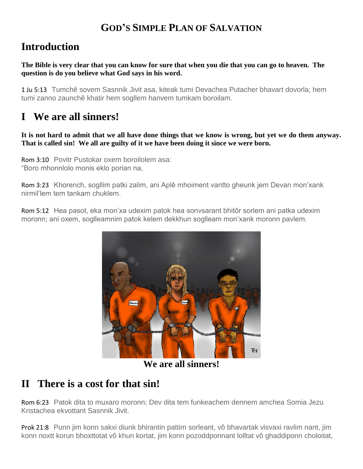## **GOD'S SIMPLE PLAN OF SALVATION**

## **Introduction**

**The Bible is very clear that you can know for sure that when you die that you can go to heaven. The question is do you believe what God says in his word.**

1 Ju 5:13 Tumchê sovem Sasnnik Jivit asa, kiteak tumi Devachea Putacher bhavart dovorla; hem tumi zanno zaunchê khatir hem sogllem hanvem tumkam boroilam.

# **I We are all sinners!**

**It is not hard to admit that we all have done things that we know is wrong, but yet we do them anyway. That is called sin! We all are guilty of it we have been doing it since we were born.**

Rom 3:10 Povitr Pustokar oxem boroilolem asa: "Boro mhonnlolo monis eklo porian na,

Rom 3:23 Khorench, sogllim patki zalim, ani Aplê mhoiment vantto gheunk jem Devan mon'xank nirmil'lem tem tankam chuklem.

Rom 5:12 Hea pasot, eka mon'xa udexim patok hea sonvsarant bhitôr sorlem ani patka udexim moronn; ani oxem, soglleamnim patok kelem dekkhun soglleam mon'xank moronn pavlem.



**We are all sinners!**

# **II There is a cost for that sin!**

Rom 6:23 Patok dita to muxaro moronn; Dev dita tem funkeachem dennem amchea Somia Jezu Kristachea ekvottant Sasnnik Jivit.

Prok 21:8 Punn jim konn sakxi diunk bhirantin pattim sorleant, vô bhavartak visvaxi ravlim nant, jim konn noxtt korun bhoxttotat vô khun kortat, jim konn pozoddponnant lolltat vô ghaddiponn choloitat,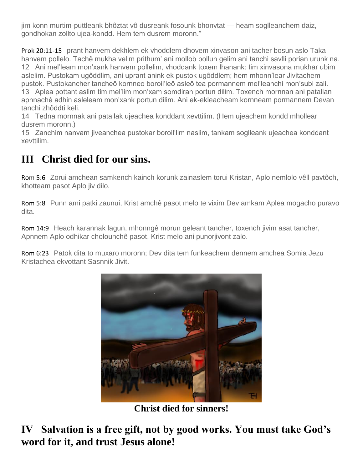jim konn murtim-puttleank bhôztat vô dusreank fosounk bhonvtat — heam soglleanchem daiz, gondhokan zollto ujea-kondd. Hem tem dusrem moronn."

Prok 20:11-15 prant hanvem dekhlem ek vhoddlem dhovem xinvason ani tacher bosun aslo Taka hanvem pollelo. Tachê mukha velim prithum' ani mollob pollun gelim ani tanchi savlli porian urunk na. 12 Ani mel'leam mon'xank hanvem pollelim, vhoddank toxem lhanank: tim xinvasona mukhar ubim aslelim. Pustokam ugôddlim, ani uprant anink ek pustok ugôddlem; hem mhonn'lear Jivitachem pustok. Pustokancher tancheô kornneo boroil'leô asleô tea pormannem mel'leanchi mon'subi zali. 13 Aplea pottant aslim tim mel'lim mon'xam somdiran portun dilim. Toxench mornnan ani patallan apnnachê adhin asleleam mon'xank portun dilim. Ani ek-ekleacheam kornneam pormannem Devan tanchi zhôddti keli.

14 Tedna mornnak ani patallak ujeachea konddant xevttilim. (Hem ujeachem kondd mhollear dusrem moronn.)

15 Zanchim nanvam jiveanchea pustokar boroil'lim naslim, tankam soglleank ujeachea konddant xevttilim.

## **III Christ died for our sins.**

Rom 5:6 Zorui amchean samkench kainch korunk zainaslem torui Kristan, Aplo nemlolo vêll pavtôch, khotteam pasot Aplo jiv dilo.

Rom 5:8 Punn ami patki zaunui, Krist amchê pasot melo te vixim Dev amkam Aplea mogacho puravo dita.

Rom 14:9 Heach karannak lagun, mhonngê morun geleant tancher, toxench jivim asat tancher, Apnnem Aplo odhikar cholounchê pasot, Krist melo ani punorjivont zalo.

Rom 6:23 Patok dita to muxaro moronn; Dev dita tem funkeachem dennem amchea Somia Jezu Kristachea ekvottant Sasnnik Jivit.



**Christ died for sinners!**

**IV Salvation is a free gift, not by good works. You must take God's word for it, and trust Jesus alone!**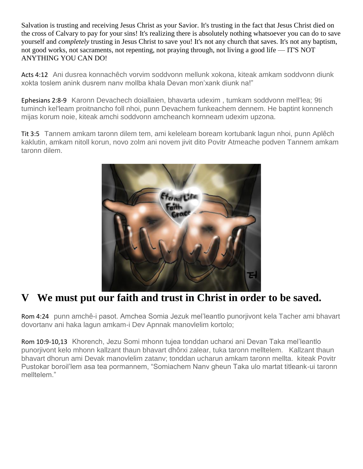Salvation is trusting and receiving Jesus Christ as your Savior. It's trusting in the fact that Jesus Christ died on the cross of Calvary to pay for your sins! It's realizing there is absolutely nothing whatsoever you can do to save yourself and *completely* trusting in Jesus Christ to save you! It's not any church that saves. It's not any baptism, not good works, not sacraments, not repenting, not praying through, not living a good life — IT'S NOT ANYTHING YOU CAN DO!

Acts 4:12 Ani dusrea konnachêch vorvim soddvonn mellunk xokona, kiteak amkam soddvonn diunk xokta toslem anink dusrem nanv mollba khala Devan mon'xank diunk na!"

Ephesians 2:8-9 Karonn Devachech doiallaien, bhavarta udexim , tumkam soddvonn mell'lea; 9ti tuminch kel'leam proitnancho foll nhoi, punn Devachem funkeachem dennem. He baptint konnench mijas korum noie, kiteak amchi soddvonn amcheanch kornneam udexim upzona.

Tit 3:5 Tannem amkam taronn dilem tem, ami keleleam boream kortubank lagun nhoi, punn Aplêch kaklutin, amkam nitoll korun, novo zolm ani novem jivit dito Povitr Atmeache podven Tannem amkam taronn dilem.



#### **V We must put our faith and trust in Christ in order to be saved.**

Rom 4:24 punn amchê-i pasot. Amchea Somia Jezuk mel'leantlo punorjivont kela Tacher ami bhavart dovortanv ani haka lagun amkam-i Dev Apnnak manovlelim kortolo;

Rom 10:9-10,13 Khorench, Jezu Somi mhonn tujea tonddan ucharxi ani Devan Taka mel'leantlo punorjivont kelo mhonn kallzant thaun bhavart dhôrxi zalear, tuka taronn melltelem. Kallzant thaun bhavart dhorun ami Devak manovlelim zatanv; tonddan ucharun amkam taronn mellta. kiteak Povitr Pustokar boroil'lem asa tea pormannem, "Somiachem Nanv gheun Taka ulo martat titleank-ui taronn melltelem."